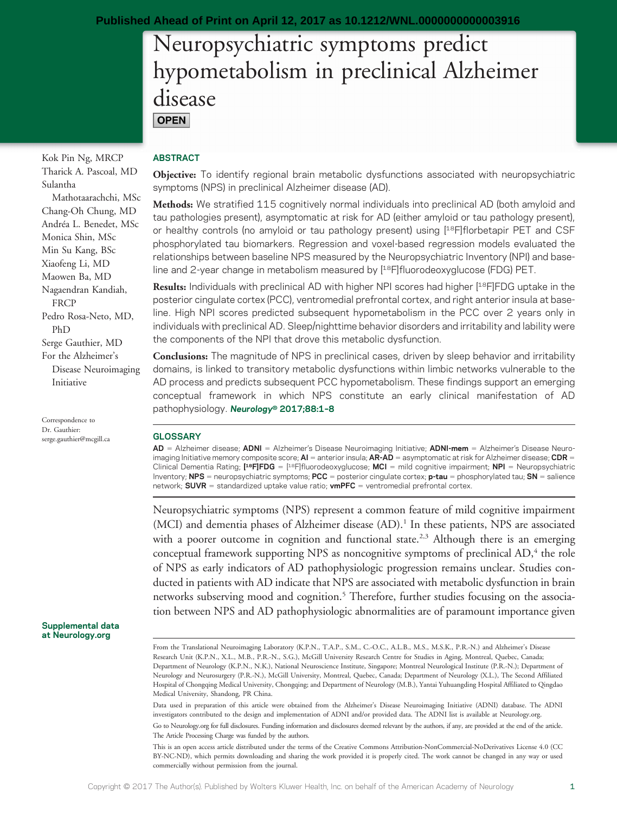# Neuropsychiatric symptoms predict hypometabolism in preclinical Alzheimer disease **OPEN**

Kok Pin Ng, MRCP Tharick A. Pascoal, MD Sulantha Mathotaarachchi, MSc Chang-Oh Chung, MD Andréa L. Benedet, MSc Monica Shin, MSc Min Su Kang, BSc Xiaofeng Li, MD Maowen Ba, MD Nagaendran Kandiah, **FRCP** Pedro Rosa-Neto, MD, PhD Serge Gauthier, MD For the Alzheimer's Disease Neuroimaging Initiative

Correspondence to Dr. Gauthier: [serge.gauthier@mcgill.ca](mailto:serge.gauthier@mcgill.ca)

#### Supplemental data at [Neurology.org](http://neurology.org/lookup/doi/10.1212/WNL.0000000000003916)

### ABSTRACT

Objective: To identify regional brain metabolic dysfunctions associated with neuropsychiatric symptoms (NPS) in preclinical Alzheimer disease (AD).

Methods: We stratified 115 cognitively normal individuals into preclinical AD (both amyloid and tau pathologies present), asymptomatic at risk for AD (either amyloid or tau pathology present), or healthy controls (no amyloid or tau pathology present) using [18F]florbetapir PET and CSF phosphorylated tau biomarkers. Regression and voxel-based regression models evaluated the relationships between baseline NPS measured by the Neuropsychiatric Inventory (NPI) and baseline and 2-year change in metabolism measured by [18F]fluorodeoxyglucose (FDG) PET.

Results: Individuals with preclinical AD with higher NPI scores had higher [<sup>18</sup>F]FDG uptake in the posterior cingulate cortex (PCC), ventromedial prefrontal cortex, and right anterior insula at baseline. High NPI scores predicted subsequent hypometabolism in the PCC over 2 years only in individuals with preclinical AD. Sleep/nighttime behavior disorders and irritability and lability were the components of the NPI that drove this metabolic dysfunction.

Conclusions: The magnitude of NPS in preclinical cases, driven by sleep behavior and irritability domains, is linked to transitory metabolic dysfunctions within limbic networks vulnerable to the AD process and predicts subsequent PCC hypometabolism. These findings support an emerging conceptual framework in which NPS constitute an early clinical manifestation of AD pathophysiology. Neurology® 2017;88:1-8

#### **GLOSSARY**

AD = Alzheimer disease; ADNI = Alzheimer's Disease Neuroimaging Initiative; ADNI-mem = Alzheimer's Disease Neuroimaging Initiative memory composite score;  $AI =$  anterior insula;  $AR-AD =$  asymptomatic at risk for Alzheimer disease; CDR = Clinical Dementia Rating; [<sup>18</sup>F]FDG = [<sup>18</sup>F]fluorodeoxyglucose; MCI = mild cognitive impairment; NPI = Neuropsychiatric Inventory; NPS = neuropsychiatric symptoms; PCC = posterior cingulate cortex; p-tau = phosphorylated tau; SN = salience network; **SUVR** = standardized uptake value ratio; **vmPFC** = ventromedial prefrontal cortex.

Neuropsychiatric symptoms (NPS) represent a common feature of mild cognitive impairment (MCI) and dementia phases of Alzheimer disease (AD).<sup>1</sup> In these patients, NPS are associated with a poorer outcome in cognition and functional state.<sup>2,3</sup> Although there is an emerging conceptual framework supporting NPS as noncognitive symptoms of preclinical AD,<sup>4</sup> the role of NPS as early indicators of AD pathophysiologic progression remains unclear. Studies conducted in patients with AD indicate that NPS are associated with metabolic dysfunction in brain networks subserving mood and cognition.<sup>5</sup> Therefore, further studies focusing on the association between NPS and AD pathophysiologic abnormalities are of paramount importance given

Data used in preparation of this article were obtained from the Alzheimer's Disease Neuroimaging Initiative (ADNI) database. The ADNI investigators contributed to the design and implementation of ADNI and/or provided data. The ADNI list is available at [Neurology.org.](http://neurology.org/lookup/doi/10.1212/WNL.0000000000003916) Go to [Neurology.org](http://neurology.org/lookup/doi/10.1212/WNL.0000000000003916) for full disclosures. Funding information and disclosures deemed relevant by the authors, if any, are provided at the end of the article.

This is an open access article distributed under the terms of the [Creative Commons Attribution-NonCommercial-NoDerivatives License 4.0 \(CC](http://creativecommons.org/licenses/by-nc-nd/4.0/) [BY-NC-ND\)](http://creativecommons.org/licenses/by-nc-nd/4.0/), which permits downloading and sharing the work provided it is properly cited. The work cannot be changed in any way or used commercially without permission from the journal.

The Article Processing Charge was funded by the authors.

From the Translational Neuroimaging Laboratory (K.P.N., T.A.P., S.M., C.-O.C., A.L.B., M.S., M.S.K., P.R.-N.) and Alzheimer's Disease Research Unit (K.P.N., X.L., M.B., P.R.-N., S.G.), McGill University Research Centre for Studies in Aging, Montreal, Quebec, Canada; Department of Neurology (K.P.N., N.K.), National Neuroscience Institute, Singapore; Montreal Neurological Institute (P.R.-N.); Department of Neurology and Neurosurgery (P.R.-N.), McGill University, Montreal, Quebec, Canada; Department of Neurology (X.L.), The Second Affiliated Hospital of Chongqing Medical University, Chongqing; and Department of Neurology (M.B.), Yantai Yuhuangding Hospital Affiliated to Qingdao Medical University, Shandong, PR China.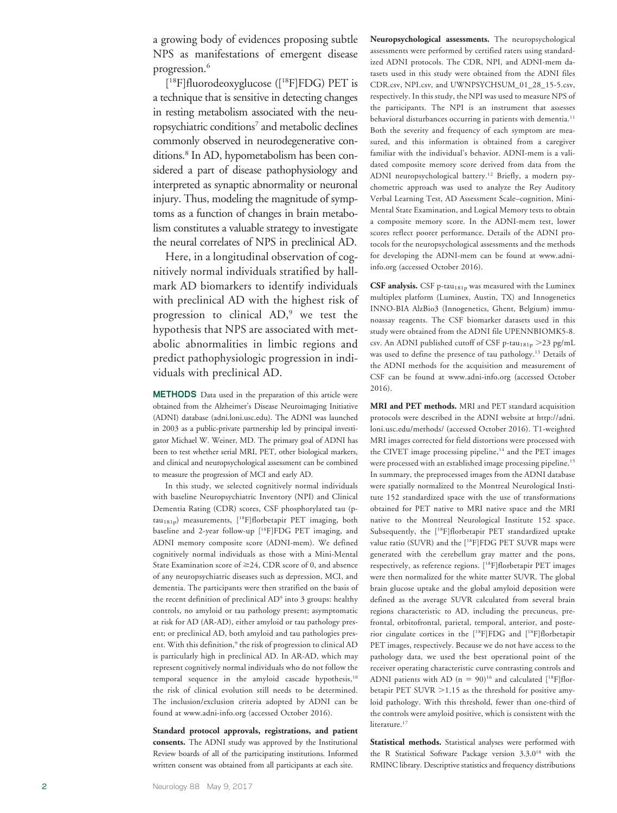a growing body of evidences proposing subtle NPS as manifestations of emergent disease progression. 6

[ 18F]fluorodeoxyglucose ([18F]FDG) PET is a technique that is sensitive in detecting changes in resting metabolism associated with the neuropsychiatric conditions<sup>7</sup> and metabolic declines commonly observed in neurodegenerative conditions.<sup>8</sup> In AD, hypometabolism has been considered a part of disease pathophysiology and interpreted as synaptic abnormality or neuronal injury. Thus, modeling the magnitude of symptoms as a function of changes in brain metabolism constitutes a valuable strategy to investigate the neural correlates of NPS in preclinical AD.

Here, in a longitudinal observation of cognitively normal individuals stratified by hallmark AD biomarkers to identify individuals with preclinical AD with the highest risk of progression to clinical AD, <sup>9</sup> we test the hypothesis that NPS are associated with metabolic abnormalities in limbic regions and predict pathophysiologic progression in individuals with preclinical AD.

METHODS Data used in the preparation of this article were obtained from the Alzheimer 's Disease Neuroimaging Initiative (ADNI) database ([adni.loni.usc.edu\)](http://adni.loni.usc.edu). The ADNI was launched in 2003 as a public-private partnership led by principal investigator Michael W. Weiner, MD. The primary goal of ADNI has been to test whether serial MRI, PET, other biological markers, and clinical and neuropsychological assessment can be combined to measure the progression of MCI and early AD.

In this study, we selected cognitively normal individuals with baseline Neuropsychiatric Inventory (NPI) and Clinical Dementia Rating (CDR) scores, CSF phosphorylated tau (ptau<sub>181p</sub>) measurements, [<sup>18</sup>F]florbetapir PET imaging, both baseline and 2-year follow-up [18F]FDG PET imaging, and ADNI memory composite score (ADNI-mem). We defined cognitively normal individuals as those with a Mini-Mental State Examination score of  $\geq$ 24, CDR score of 0, and absence of any neuropsychiatric diseases such as depression, MCI, and dementia. The participants were then stratified on the basis of the recent definition of preclinical AD <sup>9</sup> into 3 groups: healthy controls, no amyloid or tau pathology present; asymptomatic at risk for AD (AR-AD), either amyloid or tau pathology present; or preclinical AD, both amyloid and tau pathologies present. With this definition,<sup>9</sup> the risk of progression to clinical AD is particularly high in preclinical AD. In AR-AD, which may represent cognitively normal individuals who do not follow the temporal sequence in the amyloid cascade hypothesis,<sup>10</sup> the risk of clinical evolution still needs to be determined. The inclusion/exclusion criteria adopted by ADNI can be found at [www.adni-info.org](http://www.adni-info.org) (accessed October 2016).

Standard protocol approvals, registrations, and patient consents. The ADNI study was approved by the Institutional Review boards of all of the participating institutions. Informed written consent was obtained from all participants at each site.

Neuropsychological assessments. The neuropsychological assessments were performed by certified raters using standardized ADNI protocols. The CDR, NPI, and ADNI-mem datasets used in this study were obtained from the ADNI files CDR.csv, NPI.csv, and UWNPSYCHSUM\_01\_28\_15-5.csv, respectively. In this study, the NPI was used to measure NPS of the participants. The NPI is an instrument that assesses behavioral disturbances occurring in patients with dementia.<sup>11</sup> Both the severity and frequency of each symptom are measured, and this information is obtained from a caregiver familiar with the individual 's behavior. ADNI-mem is a validated composite memory score derived from data from the ADNI neuropsychological battery.12 Briefly, a modern psychometric approach was used to analyze the Rey Auditory Verbal Learning Test, AD Assessment Scale –cognition, Mini-Mental State Examination, and Logical Memory tests to obtain a composite memory score. In the ADNI-mem test, lower scores reflect poorer performance. Details of the ADNI protocols for the neuropsychological assessments and the methods for developing the ADNI-mem can be found at [www.adni](http://www.adni-info.org)[info.org](http://www.adni-info.org) (accessed October 2016).

CSF analysis. CSF p-tau<sub>181p</sub> was measured with the Luminex multiplex platform (Luminex, Austin, TX) and Innogenetics INNO-BIA AlzBio3 (Innogenetics, Ghent, Belgium) immunoassay reagents. The CSF biomarker datasets used in this study were obtained from the ADNI file UPENNBIOMK5-8. csv. An ADNI published cutoff of CSF p-tau<sub>181p</sub> >23 pg/mL was used to define the presence of tau pathology.<sup>13</sup> Details of the ADNI methods for the acquisition and measurement of CSF can be found at [www.adni-info.org](http://www.adni-info.org) (accessed October 2016).

MRI and PET methods. MRI and PET standard acquisition protocols were described in the ADNI website at [http://adni.](http://adni.loni.usc.edu/methods/) [loni.usc.edu/methods/](http://adni.loni.usc.edu/methods/) (accessed October 2016). T1-weighted MRI images corrected for field distortions were processed with the CIVET image processing pipeline, $14$  and the PET images were processed with an established image processing pipeline.<sup>15</sup> In summary, the preprocessed images from the ADNI database were spatially normalized to the Montreal Neurological Institute 152 standardized space with the use of transformations obtained for PET native to MRI native space and the MRI native to the Montreal Neurological Institute 152 space. Subsequently, the [18F]florbetapir PET standardized uptake value ratio (SUVR) and the [18F]FDG PET SUVR maps were generated with the cerebellum gray matter and the pons, respectively, as reference regions. [18F]florbetapir PET images were then normalized for the white matter SUVR. The global brain glucose uptake and the global amyloid deposition were defined as the average SUVR calculated from several brain regions characteristic to AD, including the precuneus, prefrontal, orbitofrontal, parietal, temporal, anterior, and posterior cingulate cortices in the [18F]FDG and [18F]florbetapir PET images, respectively. Because we do not have access to the pathology data, we used the best operational point of the receiver operating characteristic curve contrasting controls and ADNI patients with AD ( $n = 90$ )<sup>16</sup> and calculated [<sup>18</sup>F]florbetapir PET SUVR  $>1.15$  as the threshold for positive amyloid pathology. With this threshold, fewer than one-third of the controls were amyloid positive, which is consistent with the literature.<sup>17</sup>

Statistical methods. Statistical analyses were performed with the R Statistical Software Package version 3.3.018 with the RMINC library. Descriptive statistics and frequency distributions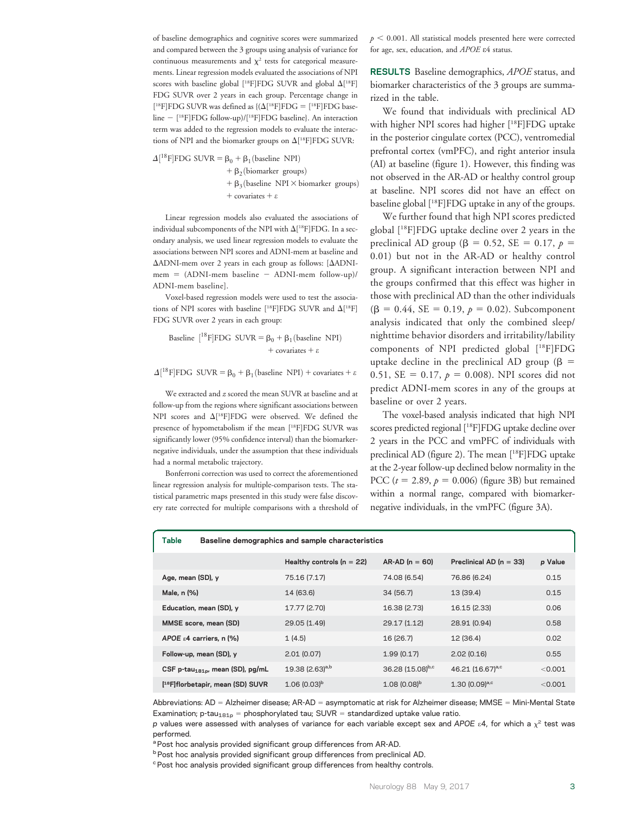of baseline demographics and cognitive scores were summarized and compared between the 3 groups using analysis of variance for continuous measurements and  $\chi^2$  tests for categorical measurements. Linear regression models evaluated the associations of NPI scores with baseline global  $[^{18}F]FDG$  SUVR and global  $\Delta[^{18}F]$ FDG SUVR over 2 years in each group. Percentage change in [<sup>18</sup>F]FDG SUVR was defined as  $\{(\Delta[^{18}F]FDG = [^{18}F]FDG$  baseline - [<sup>18</sup>F]FDG follow-up)/[<sup>18</sup>F]FDG baseline}. An interaction term was added to the regression models to evaluate the interactions of NPI and the biomarker groups on  $\Delta[^{18}F]FDG$  SUVR:

 $\Delta[^{18}F]$ FDG SUVR =  $\beta_0 + \beta_1$ (baseline NPI) +  $\beta_2$ (biomarker groups)  $+ \beta_3$ (baseline NPI  $\times$  biomarker groups)  $+$  covariates  $+$   $\varepsilon$ 

Linear regression models also evaluated the associations of individual subcomponents of the NPI with  $\Delta[^{18}\text{F}] \text{FDG}$ . In a secondary analysis, we used linear regression models to evaluate the associations between NPI scores and ADNI-mem at baseline and  $\Delta$ ADNI-mem over 2 years in each group as follows: [ $\Delta$ ADNImem =  $(ADNI-mem baseline - ADNI-mem follow-up)$ ADNI-mem baseline].

Voxel-based regression models were used to test the associations of NPI scores with baseline [<sup>18</sup>F]FDG SUVR and  $\Delta$ [<sup>18</sup>F] FDG SUVR over 2 years in each group:

Baseline 
$$
[^{18}F]FDG
$$

\n $SUVR = \beta_0 + \beta_1 \text{(baseline NPI)} + \text{covariates} + \varepsilon$ 

 $\Delta[^{18}F]FDG$  SUVR =  $\beta_0 + \beta_1$ (baseline NPI) + covariates +  $\varepsilon$ 

We extracted and  $z$  scored the mean SUVR at baseline and at follow-up from the regions where significant associations between NPI scores and  $\Delta[^{18}F]FDG$  were observed. We defined the presence of hypometabolism if the mean [18F]FDG SUVR was significantly lower (95% confidence interval) than the biomarkernegative individuals, under the assumption that these individuals had a normal metabolic trajectory.

Bonferroni correction was used to correct the aforementioned linear regression analysis for multiple-comparison tests. The statistical parametric maps presented in this study were false discovery rate corrected for multiple comparisons with a threshold of  $p < 0.001$ . All statistical models presented here were corrected for age, sex, education, and APOE e4 status.

RESULTS Baseline demographics, APOE status, and biomarker characteristics of the 3 groups are summarized in the table.

We found that individuals with preclinical AD with higher NPI scores had higher [18F]FDG uptake in the posterior cingulate cortex (PCC), ventromedial prefrontal cortex (vmPFC), and right anterior insula (AI) at baseline (figure 1). However, this finding was not observed in the AR-AD or healthy control group at baseline. NPI scores did not have an effect on baseline global [18F]FDG uptake in any of the groups.

We further found that high NPI scores predicted global [18F]FDG uptake decline over 2 years in the preclinical AD group ( $\beta = 0.52$ , SE = 0.17, p = 0.01) but not in the AR-AD or healthy control group. A significant interaction between NPI and the groups confirmed that this effect was higher in those with preclinical AD than the other individuals  $(\beta = 0.44, SE = 0.19, p = 0.02)$ . Subcomponent analysis indicated that only the combined sleep/ nighttime behavior disorders and irritability/lability components of NPI predicted global [18F]FDG uptake decline in the preclinical AD group ( $\beta$  = 0.51, SE = 0.17,  $p = 0.008$ ). NPI scores did not predict ADNI-mem scores in any of the groups at baseline or over 2 years.

The voxel-based analysis indicated that high NPI scores predicted regional [18F]FDG uptake decline over 2 years in the PCC and vmPFC of individuals with preclinical AD (figure 2). The mean [18F]FDG uptake at the 2-year follow-up declined below normality in the PCC ( $t = 2.89$ ,  $p = 0.006$ ) (figure 3B) but remained within a normal range, compared with biomarkernegative individuals, in the vmPFC (figure 3A).

| Table<br>Baseline demographics and sample characteristics |                               |                  |                              |         |
|-----------------------------------------------------------|-------------------------------|------------------|------------------------------|---------|
|                                                           | Healthy controls ( $n = 22$ ) | $AR-AD (n = 60)$ | Preclinical AD ( $n = 33$ )  | p Value |
| Age, mean (SD), y                                         | 75.16 (7.17)                  | 74.08 (6.54)     | 76.86 (6.24)                 | 0.15    |
| Male, n (%)                                               | 14 (63.6)                     | 34 (56.7)        | 13 (39.4)                    | 0.15    |
| Education, mean (SD), y                                   | 17.77 (2.70)                  | 16.38 (2.73)     | 16.15 (2.33)                 | 0.06    |
| MMSE score, mean (SD)                                     | 29.05 (1.49)                  | 29.17 (1.12)     | 28.91 (0.94)                 | 0.58    |
| APOE $\epsilon$ 4 carriers, n (%)                         | 1(4.5)                        | 16 (26.7)        | 12 (36.4)                    | 0.02    |
| Follow-up, mean (SD), y                                   | 2.01(0.07)                    | 1.99(0.17)       | 2.02(0.16)                   | 0.55    |
| CSF p-tau <sub>181pr</sub> mean (SD), pg/mL               | 19.38 (2.63) <sup>a,b</sup>   | 36.28 (15.08)b,c | 46.21 (16.67) <sup>a,c</sup> | < 0.001 |
| [ <sup>18</sup> F]florbetapir, mean (SD) SUVR             | $1.06(0.03)^b$                | $1.08(0.08)^b$   | $1.30(0.09)^{a,c}$           | < 0.001 |

Abbreviations: AD = Alzheimer disease; AR-AD = asymptomatic at risk for Alzheimer disease; MMSE = Mini-Mental State Examination; p-tau<sub>181p</sub> = phosphorylated tau; SUVR = standardized uptake value ratio.

p values were assessed with analyses of variance for each variable except sex and APOE  $\varepsilon$ 4, for which a  $\chi^2$  test was performed.

<sup>a</sup> Post hoc analysis provided significant group differences from AR-AD.

b Post hoc analysis provided significant group differences from preclinical AD.

<sup>c</sup> Post hoc analysis provided significant group differences from healthy controls.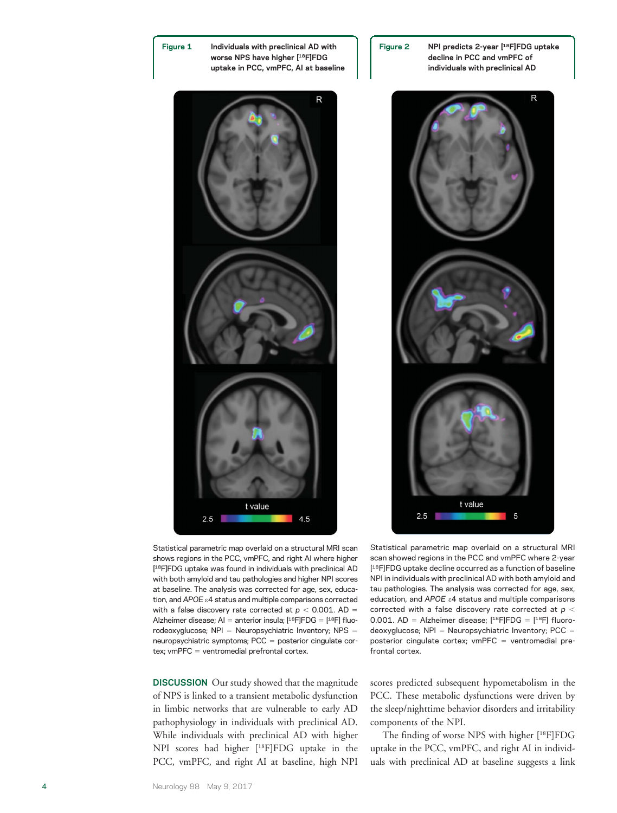

Figure 1 Individuals with preclinical AD with worse NPS have higher [18F]FDG uptake in PCC, vmPFC, AI at baseline





Figure 2 NPI predicts 2-year [18F]FDG uptake decline in PCC and vmPFC of individuals with preclinical AD



Statistical parametric map overlaid on a structural MRI scan shows regions in the PCC, vmPFC, and right AI where higher [<sup>18</sup>F]FDG uptake was found in individuals with preclinical AD with both amyloid and tau pathologies and higher NPI scores at baseline. The analysis was corrected for age, sex, education, and APOE  $\varepsilon$ 4 status and multiple comparisons corrected with a false discovery rate corrected at  $p < 0.001$ . AD = Alzheimer disease; AI = anterior insula; [18F]FDG = [18F] fluorodeoxyglucose; NPI = Neuropsychiatric Inventory; NPS = neuropsychiatric symptoms; PCC = posterior cingulate cortex;  $vmPFC = ventromedial prefrontal cortex.$ 

DISCUSSION Our study showed that the magnitude of NPS is linked to a transient metabolic dysfunction in limbic networks that are vulnerable to early AD pathophysiology in individuals with preclinical AD. While individuals with preclinical AD with higher NPI scores had higher [18F]FDG uptake in the PCC, vmPFC, and right AI at baseline, high NPI

Statistical parametric map overlaid on a structural MRI scan showed regions in the PCC and vmPFC where 2-year [ 18F]FDG uptake decline occurred as a function of baseline NPI in individuals with preclinical AD with both amyloid and tau pathologies. The analysis was corrected for age, sex, education, and APOE e4 status and multiple comparisons corrected with a false discovery rate corrected at  $p <$ 0.001. AD = Alzheimer disease;  $[$ <sup>18</sup>F]FDG =  $[$ <sup>18</sup>F] fluorodeoxyglucose;  $NPI = Neuropsychiatric Inventory; PCC =$ posterior cingulate cortex;  $vmPFC = ventromedial pre$ frontal cortex.

scores predicted subsequent hypometabolism in the PCC. These metabolic dysfunctions were driven by the sleep/nighttime behavior disorders and irritability components of the NPI.

The finding of worse NPS with higher [18F]FDG uptake in the PCC, vmPFC, and right AI in individuals with preclinical AD at baseline suggests a link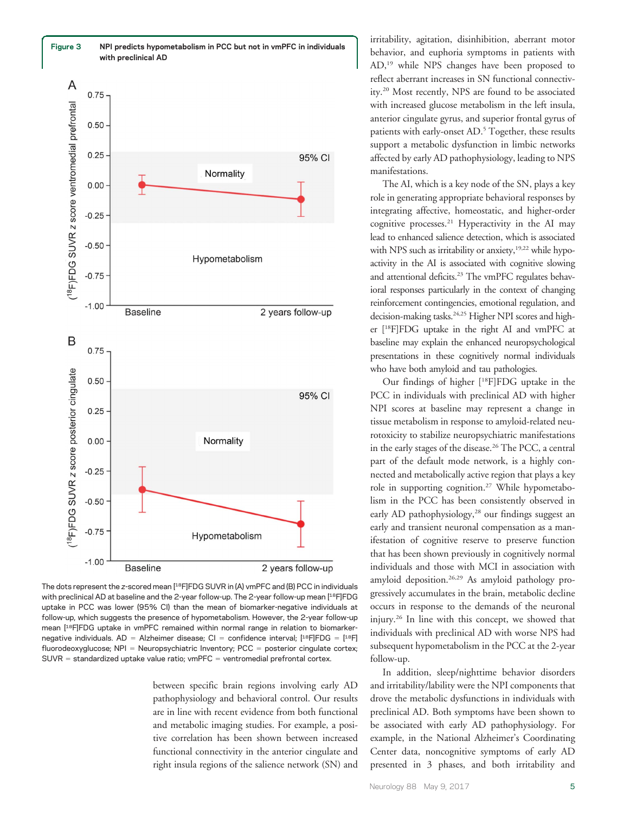

The dots represent the z-scored mean [<sup>18</sup>F]FDG SUVR in (A) vmPFC and (B) PCC in individuals with preclinical AD at baseline and the 2-year follow-up. The 2-year follow-up mean [18F]FDG uptake in PCC was lower (95% CI) than the mean of biomarker-negative individuals at follow-up, which suggests the presence of hypometabolism. However, the 2-year follow-up mean [18F]FDG uptake in vmPFC remained within normal range in relation to biomarkernegative individuals. AD = Alzheimer disease; CI = confidence interval; [18F]FDG = [18F] fluorodeoxyglucose;  $NPI = Neuropsychiatric Inventory; PCC = posterior cingulate cortex;$  $SUVR = standardized uptake value ratio;$   $vmPFC = ventromedial prefrontal cortex.$ 

between specific brain regions involving early AD pathophysiology and behavioral control. Our results are in line with recent evidence from both functional and metabolic imaging studies. For example, a positive correlation has been shown between increased functional connectivity in the anterior cingulate and right insula regions of the salience network (SN) and

irritability, agitation, disinhibition, aberrant motor behavior, and euphoria symptoms in patients with AD,19 while NPS changes have been proposed to reflect aberrant increases in SN functional connectivity.20 Most recently, NPS are found to be associated with increased glucose metabolism in the left insula, anterior cingulate gyrus, and superior frontal gyrus of patients with early-onset AD.<sup>5</sup> Together, these results support a metabolic dysfunction in limbic networks affected by early AD pathophysiology, leading to NPS manifestations.

The AI, which is a key node of the SN, plays a key role in generating appropriate behavioral responses by integrating affective, homeostatic, and higher-order cognitive processes.<sup>21</sup> Hyperactivity in the AI may lead to enhanced salience detection, which is associated with NPS such as irritability or anxiety, $19,22$  while hypoactivity in the AI is associated with cognitive slowing and attentional deficits.<sup>23</sup> The vmPFC regulates behavioral responses particularly in the context of changing reinforcement contingencies, emotional regulation, and decision-making tasks.<sup>24,25</sup> Higher NPI scores and higher [18F]FDG uptake in the right AI and vmPFC at baseline may explain the enhanced neuropsychological presentations in these cognitively normal individuals who have both amyloid and tau pathologies.

Our findings of higher [18F]FDG uptake in the PCC in individuals with preclinical AD with higher NPI scores at baseline may represent a change in tissue metabolism in response to amyloid-related neurotoxicity to stabilize neuropsychiatric manifestations in the early stages of the disease.<sup>26</sup> The PCC, a central part of the default mode network, is a highly connected and metabolically active region that plays a key role in supporting cognition.27 While hypometabolism in the PCC has been consistently observed in early AD pathophysiology,<sup>28</sup> our findings suggest an early and transient neuronal compensation as a manifestation of cognitive reserve to preserve function that has been shown previously in cognitively normal individuals and those with MCI in association with amyloid deposition.26,29 As amyloid pathology progressively accumulates in the brain, metabolic decline occurs in response to the demands of the neuronal injury.26 In line with this concept, we showed that individuals with preclinical AD with worse NPS had subsequent hypometabolism in the PCC at the 2-year follow-up.

In addition, sleep/nighttime behavior disorders and irritability/lability were the NPI components that drove the metabolic dysfunctions in individuals with preclinical AD. Both symptoms have been shown to be associated with early AD pathophysiology. For example, in the National Alzheimer's Coordinating Center data, noncognitive symptoms of early AD presented in 3 phases, and both irritability and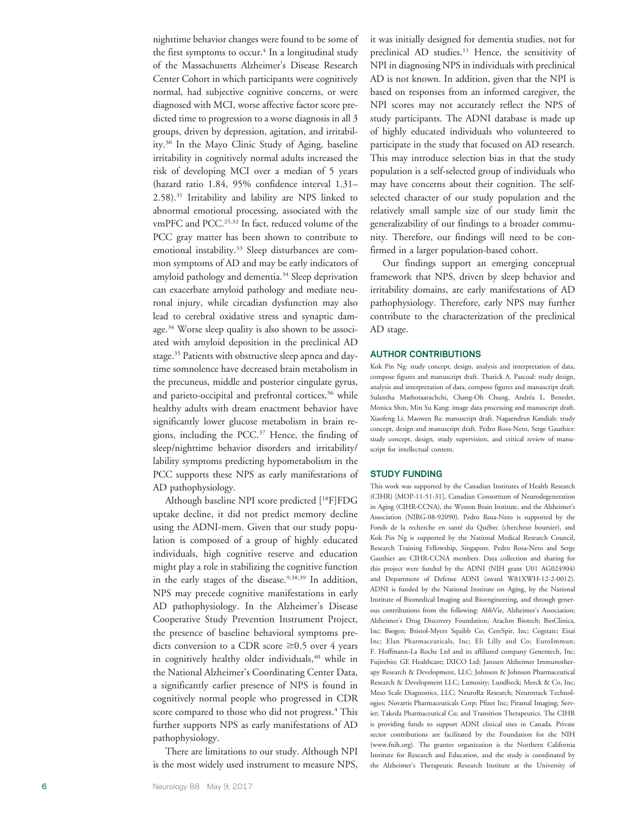nighttime behavior changes were found to be some of the first symptoms to occur. <sup>4</sup> In a longitudinal study of the Massachusetts Alzheimer 's Disease Research Center Cohort in which participants were cognitively normal, had subjective cognitive concerns, or were diagnosed with MCI, worse affective factor score predicted time to progression to a worse diagnosis in all 3 groups, driven by depression, agitation, and irritability.30 In the Mayo Clinic Study of Aging, baseline irritability in cognitively normal adults increased the risk of developing MCI over a median of 5 years (hazard ratio 1.84, 95% confidence interval 1.31 – 2.58).31 Irritability and lability are NPS linked to abnormal emotional processing, associated with the vmPFC and PCC.<sup>25,32</sup> In fact, reduced volume of the PCC gray matter has been shown to contribute to emotional instability.<sup>33</sup> Sleep disturbances are common symptoms of AD and may be early indicators of amyloid pathology and dementia.<sup>34</sup> Sleep deprivation can exacerbate amyloid pathology and mediate neuronal injury, while circadian dysfunction may also lead to cerebral oxidative stress and synaptic damage.34 Worse sleep quality is also shown to be associated with amyloid deposition in the preclinical AD stage.<sup>35</sup> Patients with obstructive sleep apnea and daytime somnolence have decreased brain metabolism in the precuneus, middle and posterior cingulate gyrus, and parieto-occipital and prefrontal cortices,<sup>36</sup> while healthy adults with dream enactment behavior have significantly lower glucose metabolism in brain regions, including the PCC.37 Hence, the finding of sleep/nighttime behavior disorders and irritability/ lability symptoms predicting hypometabolism in the PCC supports these NPS as early manifestations of AD pathophysiology.

Although baseline NPI score predicted [18F]FDG uptake decline, it did not predict memory decline using the ADNI-mem. Given that our study population is composed of a group of highly educated individuals, high cognitive reserve and education might play a role in stabilizing the cognitive function in the early stages of the disease.<sup>9,38,39</sup> In addition, NPS may precede cognitive manifestations in early AD pathophysiology. In the Alzheimer 's Disease Cooperative Study Prevention Instrument Project, the presence of baseline behavioral symptoms predicts conversion to a CDR score  $\geq 0.5$  over 4 years in cognitively healthy older individuals,<sup>40</sup> while in the National Alzheimer 's Coordinating Center Data, a significantly earlier presence of NPS is found in cognitively normal people who progressed in CDR score compared to those who did not progress. <sup>4</sup> This further supports NPS as early manifestations of AD pathophysiology.

There are limitations to our study. Although NPI is the most widely used instrument to measure NPS, it was initially designed for dementia studies, not for preclinical AD studies.<sup>11</sup> Hence, the sensitivity of NPI in diagnosing NPS in individuals with preclinical AD is not known. In addition, given that the NPI is based on responses from an informed caregiver, the NPI scores may not accurately reflect the NPS of study participants. The ADNI database is made up of highly educated individuals who volunteered to participate in the study that focused on AD research. This may introduce selection bias in that the study population is a self-selected group of individuals who may have concerns about their cognition. The selfselected character of our study population and the relatively small sample size of our study limit the generalizability of our findings to a broader community. Therefore, our findings will need to be confirmed in a larger population-based cohort.

Our findings support an emerging conceptual framework that NPS, driven by sleep behavior and irritability domains, are early manifestations of AD pathophysiology. Therefore, early NPS may further contribute to the characterization of the preclinical AD stage.

#### AUTHOR CONTRIBUTIONS

Kok Pin Ng: study concept, design, analysis and interpretation of data, compose figures and manuscript draft. Tharick A. Pascoal: study design, analysis and interpretation of data, compose figures and manuscript draft. Sulantha Mathotaarachchi, Chang-Oh Chung, Andréa L. Benedet, Monica Shin, Min Su Kang: image data processing and manuscript draft. Xiaofeng Li, Maowen Ba: manuscript draft. Nagaendran Kandiah: study concept, design and manuscript draft. Pedro Rosa-Neto, Serge Gauthier: study concept, design, study supervision, and critical review of manuscript for intellectual content.

#### STUDY FUNDING

This work was supported by the Canadian Institutes of Health Research (CIHR) [MOP-11-51-31], Canadian Consortium of Neurodegeneration in Aging (CIHR-CCNA), the Weston Brain Institute, and the Alzheimer's Association (NIRG-08-92090). Pedro Rosa-Neto is supported by the Fonds de la recherche en santé du Québec (chercheur boursier), and Kok Pin Ng is supported by the National Medical Research Council, Research Training Fellowship, Singapore. Pedro Rosa-Neto and Serge Gauthier are CIHR-CCNA members. Data collection and sharing for this project were funded by the ADNI (NIH grant U01 AG024904) and Department of Defense ADNI (award W81XWH-12-2-0012). ADNI is funded by the National Institute on Aging, by the National Institute of Biomedical Imaging and Bioengineering, and through generous contributions from the following: AbbVie, Alzheimer's Association; Alzheimer 's Drug Discovery Foundation; Araclon Biotech; BioClinica, Inc; Biogen; Bristol-Myers Squibb Co; CereSpir, Inc; Cogstate; Eisai Inc; Elan Pharmaceuticals, Inc; Eli Lilly and Co; EuroImmun; F. Hoffmann-La Roche Ltd and its affiliated company Genentech, Inc; Fujirebio; GE Healthcare; IXICO Ltd; Janssen Alzheimer Immunotherapy Research & Development, LLC; Johnson & Johnson Pharmaceutical Research & Development LLC; Lumosity; Lundbeck; Merck & Co, Inc; Meso Scale Diagnostics, LLC; NeuroRx Research; Neurotrack Technologies; Novartis Pharmaceuticals Corp; Pfizer Inc; Piramal Imaging; Servier; Takeda Pharmaceutical Co; and Transition Therapeutics. The CIHR is providing funds to support ADNI clinical sites in Canada. Private sector contributions are facilitated by the Foundation for the NIH ([www.fnih.org](http://www.fnih.org)). The grantee organization is the Northern California Institute for Research and Education, and the study is coordinated by the Alzheimer 's Therapeutic Research Institute at the University of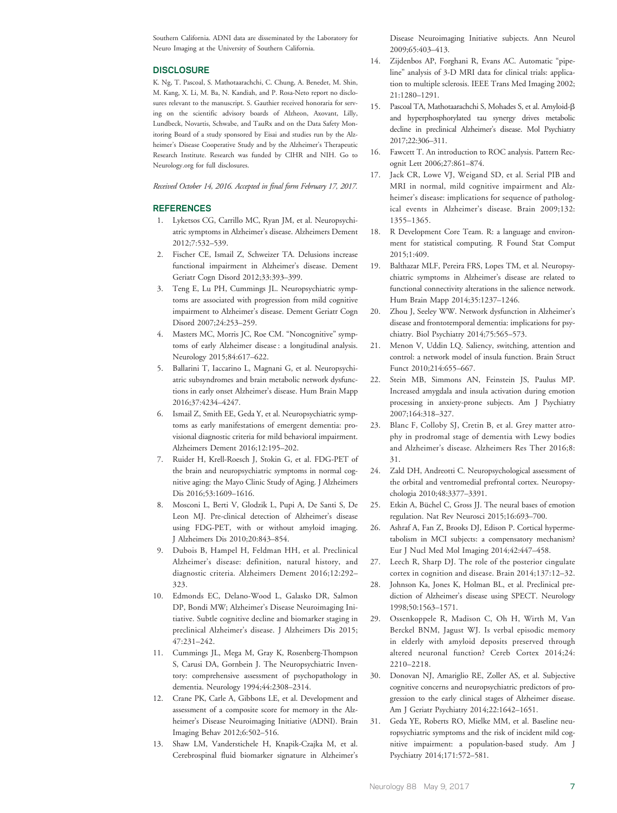Southern California. ADNI data are disseminated by the Laboratory for Neuro Imaging at the University of Southern California.

#### **DISCLOSURE**

K. Ng, T. Pascoal, S. Mathotaarachchi, C. Chung, A. Benedet, M. Shin, M. Kang, X. Li, M. Ba, N. Kandiah, and P. Rosa-Neto report no disclosures relevant to the manuscript. S. Gauthier received honoraria for serving on the scientific advisory boards of Alzheon, Axovant, Lilly, Lundbeck, Novartis, Schwabe, and TauRx and on the Data Safety Monitoring Board of a study sponsored by Eisai and studies run by the Alzheimer's Disease Cooperative Study and by the Alzheimer's Therapeutic Research Institute. Research was funded by CIHR and NIH. Go to [Neurology.org](http://neurology.org/lookup/doi/10.1212/WNL.0000000000003916) for full disclosures.

Received October 14, 2016. Accepted in final form February 17, 2017.

#### **REFERENCES**

- 1. Lyketsos CG, Carrillo MC, Ryan JM, et al. Neuropsychiatric symptoms in Alzheimer's disease. Alzheimers Dement 2012;7:532–539.
- 2. Fischer CE, Ismail Z, Schweizer TA. Delusions increase functional impairment in Alzheimer's disease. Dement Geriatr Cogn Disord 2012;33:393–399.
- 3. Teng E, Lu PH, Cummings JL. Neuropsychiatric symptoms are associated with progression from mild cognitive impairment to Alzheimer's disease. Dement Geriatr Cogn Disord 2007;24:253–259.
- 4. Masters MC, Morris JC, Roe CM. "Noncognitive" symptoms of early Alzheimer disease : a longitudinal analysis. Neurology 2015;84:617–622.
- 5. Ballarini T, Iaccarino L, Magnani G, et al. Neuropsychiatric subsyndromes and brain metabolic network dysfunctions in early onset Alzheimer's disease. Hum Brain Mapp 2016;37:4234–4247.
- 6. Ismail Z, Smith EE, Geda Y, et al. Neuropsychiatric symptoms as early manifestations of emergent dementia: provisional diagnostic criteria for mild behavioral impairment. Alzheimers Dement 2016;12:195–202.
- 7. Ruider H, Krell-Roesch J, Stokin G, et al. FDG-PET of the brain and neuropsychiatric symptoms in normal cognitive aging: the Mayo Clinic Study of Aging. J Alzheimers Dis 2016;53:1609–1616.
- 8. Mosconi L, Berti V, Glodzik L, Pupi A, De Santi S, De Leon MJ. Pre-clinical detection of Alzheimer's disease using FDG-PET, with or without amyloid imaging. J Alzheimers Dis 2010;20:843–854.
- 9. Dubois B, Hampel H, Feldman HH, et al. Preclinical Alzheimer's disease: definition, natural history, and diagnostic criteria. Alzheimers Dement 2016;12:292– 323.
- 10. Edmonds EC, Delano-Wood L, Galasko DR, Salmon DP, Bondi MW; Alzheimer's Disease Neuroimaging Initiative. Subtle cognitive decline and biomarker staging in preclinical Alzheimer's disease. J Alzheimers Dis 2015; 47:231–242.
- 11. Cummings JL, Mega M, Gray K, Rosenberg-Thompson S, Carusi DA, Gornbein J. The Neuropsychiatric Inventory: comprehensive assessment of psychopathology in dementia. Neurology 1994;44:2308–2314.
- 12. Crane PK, Carle A, Gibbons LE, et al. Development and assessment of a composite score for memory in the Alzheimer's Disease Neuroimaging Initiative (ADNI). Brain Imaging Behav 2012;6:502–516.
- 13. Shaw LM, Vanderstichele H, Knapik-Czajka M, et al. Cerebrospinal fluid biomarker signature in Alzheimer's

Disease Neuroimaging Initiative subjects. Ann Neurol 2009;65:403–413.

- 14. Zijdenbos AP, Forghani R, Evans AC. Automatic "pipeline" analysis of 3-D MRI data for clinical trials: application to multiple sclerosis. IEEE Trans Med Imaging 2002; 21:1280–1291.
- 15. Pascoal TA, Mathotaarachchi S, Mohades S, et al. Amyloid-b and hyperphosphorylated tau synergy drives metabolic decline in preclinical Alzheimer's disease. Mol Psychiatry 2017;22:306–311.
- 16. Fawcett T. An introduction to ROC analysis. Pattern Recognit Lett 2006;27:861–874.
- 17. Jack CR, Lowe VJ, Weigand SD, et al. Serial PIB and MRI in normal, mild cognitive impairment and Alzheimer's disease: implications for sequence of pathological events in Alzheimer's disease. Brain 2009;132: 1355–1365.
- 18. R Development Core Team. R: a language and environment for statistical computing. R Found Stat Comput 2015;1:409.
- 19. Balthazar MLF, Pereira FRS, Lopes TM, et al. Neuropsychiatric symptoms in Alzheimer's disease are related to functional connectivity alterations in the salience network. Hum Brain Mapp 2014;35:1237–1246.
- 20. Zhou J, Seeley WW. Network dysfunction in Alzheimer's disease and frontotemporal dementia: implications for psychiatry. Biol Psychiatry 2014;75:565–573.
- 21. Menon V, Uddin LQ. Saliency, switching, attention and control: a network model of insula function. Brain Struct Funct 2010;214:655–667.
- 22. Stein MB, Simmons AN, Feinstein JS, Paulus MP. Increased amygdala and insula activation during emotion processing in anxiety-prone subjects. Am J Psychiatry 2007;164:318–327.
- 23. Blanc F, Colloby SJ, Cretin B, et al. Grey matter atrophy in prodromal stage of dementia with Lewy bodies and Alzheimer's disease. Alzheimers Res Ther 2016;8: 31.
- 24. Zald DH, Andreotti C. Neuropsychological assessment of the orbital and ventromedial prefrontal cortex. Neuropsychologia 2010;48:3377–3391.
- 25. Etkin A, Büchel C, Gross JJ. The neural bases of emotion regulation. Nat Rev Neurosci 2015;16:693–700.
- 26. Ashraf A, Fan Z, Brooks DJ, Edison P. Cortical hypermetabolism in MCI subjects: a compensatory mechanism? Eur J Nucl Med Mol Imaging 2014;42:447–458.
- 27. Leech R, Sharp DJ. The role of the posterior cingulate cortex in cognition and disease. Brain 2014;137:12–32.
- 28. Johnson Ka, Jones K, Holman BL, et al. Preclinical prediction of Alzheimer's disease using SPECT. Neurology 1998;50:1563–1571.
- 29. Ossenkoppele R, Madison C, Oh H, Wirth M, Van Berckel BNM, Jagust WJ. Is verbal episodic memory in elderly with amyloid deposits preserved through altered neuronal function? Cereb Cortex 2014;24: 2210–2218.
- 30. Donovan NJ, Amariglio RE, Zoller AS, et al. Subjective cognitive concerns and neuropsychiatric predictors of progression to the early clinical stages of Alzheimer disease. Am J Geriatr Psychiatry 2014;22:1642–1651.
- 31. Geda YE, Roberts RO, Mielke MM, et al. Baseline neuropsychiatric symptoms and the risk of incident mild cognitive impairment: a population-based study. Am J Psychiatry 2014;171:572–581.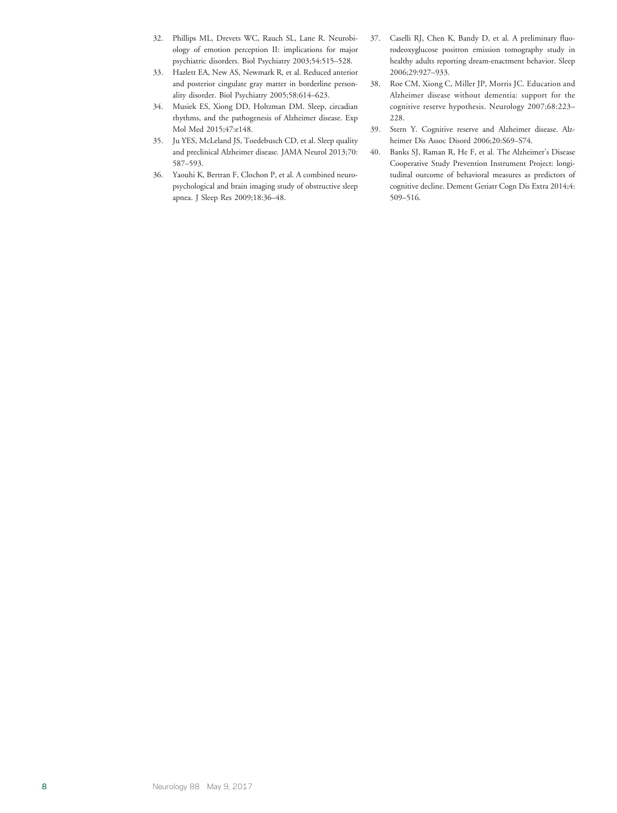- 32. Phillips ML, Drevets WC, Rauch SL, Lane R. Neurobiology of emotion perception II: implications for major psychiatric disorders. Biol Psychiatry 2003;54:515–528.
- 33. Hazlett EA, New AS, Newmark R, et al. Reduced anterior and posterior cingulate gray matter in borderline personality disorder. Biol Psychiatry 2005;58:614–623.
- 34. Musiek ES, Xiong DD, Holtzman DM. Sleep, circadian rhythms, and the pathogenesis of Alzheimer disease. Exp Mol Med 2015;47:e148.
- 35. Ju YES, McLeland JS, Toedebusch CD, et al. Sleep quality and preclinical Alzheimer disease. JAMA Neurol 2013;70: 587–593.
- 36. Yaouhi K, Bertran F, Clochon P, et al. A combined neuropsychological and brain imaging study of obstructive sleep apnea. J Sleep Res 2009;18:36–48.
- 37. Caselli RJ, Chen K, Bandy D, et al. A preliminary fluorodeoxyglucose positron emission tomography study in healthy adults reporting dream-enactment behavior. Sleep 2006;29:927–933.
- 38. Roe CM, Xiong C, Miller JP, Morris JC. Education and Alzheimer disease without dementia: support for the cognitive reserve hypothesis. Neurology 2007;68:223– 228.
- 39. Stern Y. Cognitive reserve and Alzheimer disease. Alzheimer Dis Assoc Disord 2006;20:S69–S74.
- 40. Banks SJ, Raman R, He F, et al. The Alzheimer's Disease Cooperative Study Prevention Instrument Project: longitudinal outcome of behavioral measures as predictors of cognitive decline. Dement Geriatr Cogn Dis Extra 2014;4: 509–516.